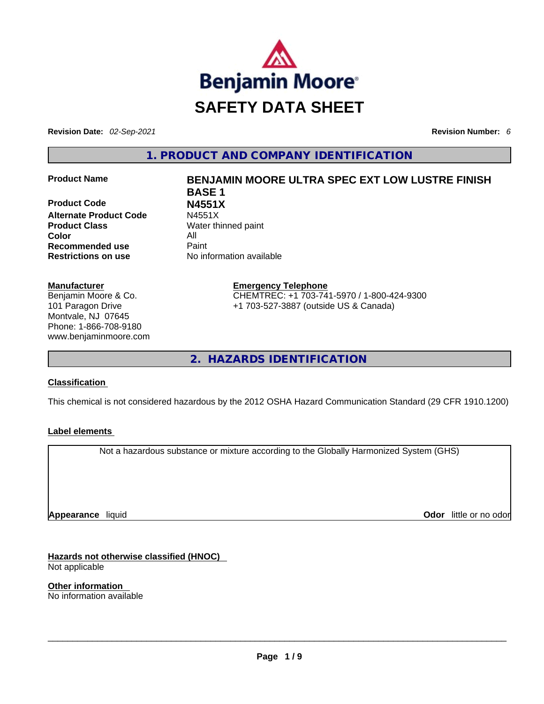

**Revision Date:** *02-Sep-2021* **Revision Number:** *6*

**1. PRODUCT AND COMPANY IDENTIFICATION** 

**Product Code N4551X Alternate Product Code Product Class Water thinned paint Color** All **Recommended use <b>Paint Restrictions on use** No information available

#### **Manufacturer**

Benjamin Moore & Co. 101 Paragon Drive Montvale, NJ 07645 Phone: 1-866-708-9180 www.benjaminmoore.com

# **Product Name BENJAMIN MOORE ULTRA SPEC EXT LOW LUSTRE FINISH BASE 1**

**Emergency Telephone** CHEMTREC: +1 703-741-5970 / 1-800-424-9300 +1 703-527-3887 (outside US & Canada)

**2. HAZARDS IDENTIFICATION** 

#### **Classification**

This chemical is not considered hazardous by the 2012 OSHA Hazard Communication Standard (29 CFR 1910.1200)

#### **Label elements**

Not a hazardous substance or mixture according to the Globally Harmonized System (GHS)

**Appearance** liquid

**Odor** little or no odor

**Hazards not otherwise classified (HNOC)**  Not applicable

**Other information**  No information available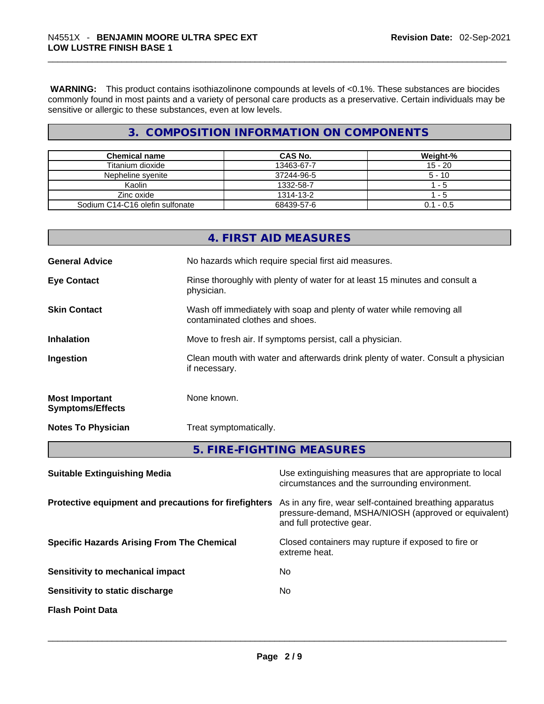**WARNING:** This product contains isothiazolinone compounds at levels of <0.1%. These substances are biocides commonly found in most paints and a variety of personal care products as a preservative. Certain individuals may be sensitive or allergic to these substances, even at low levels.

# **3. COMPOSITION INFORMATION ON COMPONENTS**

| <b>Chemical name</b>            | CAS No.    | Weight-%    |
|---------------------------------|------------|-------------|
| Titanium dioxide                | 13463-67-7 | $15 - 20$   |
| Nepheline svenite               | 37244-96-5 | $5 - 10$    |
| Kaolin                          | 1332-58-7  | - 5         |
| Zinc oxide                      | 1314-13-2  | - 5         |
| Sodium C14-C16 olefin sulfonate | 68439-57-6 | $0.1 - 0.5$ |

|                                                  | 4. FIRST AID MEASURES                                                                                    |
|--------------------------------------------------|----------------------------------------------------------------------------------------------------------|
| <b>General Advice</b>                            | No hazards which require special first aid measures.                                                     |
| <b>Eye Contact</b>                               | Rinse thoroughly with plenty of water for at least 15 minutes and consult a<br>physician.                |
| <b>Skin Contact</b>                              | Wash off immediately with soap and plenty of water while removing all<br>contaminated clothes and shoes. |
| <b>Inhalation</b>                                | Move to fresh air. If symptoms persist, call a physician.                                                |
| Ingestion                                        | Clean mouth with water and afterwards drink plenty of water. Consult a physician<br>if necessary.        |
| <b>Most Important</b><br><b>Symptoms/Effects</b> | None known.                                                                                              |
| <b>Notes To Physician</b>                        | Treat symptomatically.                                                                                   |
|                                                  | 5. FIRE-FIGHTING MEASURES                                                                                |
|                                                  |                                                                                                          |

| <b>Suitable Extinguishing Media</b>                   | Use extinguishing measures that are appropriate to local<br>circumstances and the surrounding environment.                                   |
|-------------------------------------------------------|----------------------------------------------------------------------------------------------------------------------------------------------|
| Protective equipment and precautions for firefighters | As in any fire, wear self-contained breathing apparatus<br>pressure-demand, MSHA/NIOSH (approved or equivalent)<br>and full protective gear. |
| <b>Specific Hazards Arising From The Chemical</b>     | Closed containers may rupture if exposed to fire or<br>extreme heat.                                                                         |
| Sensitivity to mechanical impact                      | No.                                                                                                                                          |
| Sensitivity to static discharge                       | No                                                                                                                                           |
| <b>Flash Point Data</b>                               |                                                                                                                                              |
|                                                       |                                                                                                                                              |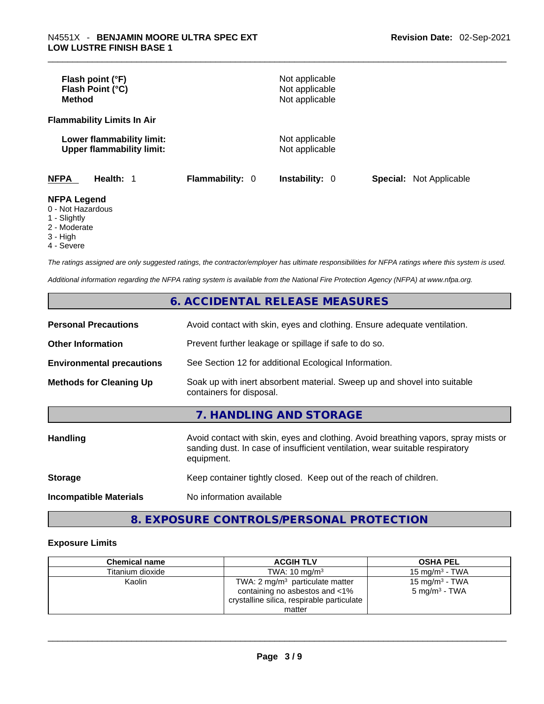| Flash point (°F)<br>Flash Point (°C)<br><b>Method</b>         |                        | Not applicable<br>Not applicable<br>Not applicable |                                |
|---------------------------------------------------------------|------------------------|----------------------------------------------------|--------------------------------|
| <b>Flammability Limits In Air</b>                             |                        |                                                    |                                |
| Lower flammability limit:<br><b>Upper flammability limit:</b> |                        | Not applicable<br>Not applicable                   |                                |
| <b>NFPA</b><br>Health: 1                                      | <b>Flammability: 0</b> | <b>Instability: 0</b>                              | <b>Special: Not Applicable</b> |
| <b>NFPA Legend</b><br>0 - Not Hazardous<br>1 - Slightly       |                        |                                                    |                                |

- 
- 2 Moderate
- 3 High
- 4 Severe

*The ratings assigned are only suggested ratings, the contractor/employer has ultimate responsibilities for NFPA ratings where this system is used.* 

*Additional information regarding the NFPA rating system is available from the National Fire Protection Agency (NFPA) at www.nfpa.org.* 

# **6. ACCIDENTAL RELEASE MEASURES**

| <b>Personal Precautions</b>      | Avoid contact with skin, eyes and clothing. Ensure adequate ventilation.                                                                                                         |  |
|----------------------------------|----------------------------------------------------------------------------------------------------------------------------------------------------------------------------------|--|
| <b>Other Information</b>         | Prevent further leakage or spillage if safe to do so.                                                                                                                            |  |
| <b>Environmental precautions</b> | See Section 12 for additional Ecological Information.                                                                                                                            |  |
| <b>Methods for Cleaning Up</b>   | Soak up with inert absorbent material. Sweep up and shovel into suitable<br>containers for disposal.                                                                             |  |
|                                  | 7. HANDLING AND STORAGE                                                                                                                                                          |  |
| <b>Handling</b>                  | Avoid contact with skin, eyes and clothing. Avoid breathing vapors, spray mists or<br>sanding dust. In case of insufficient ventilation, wear suitable respiratory<br>equipment. |  |
| <b>Storage</b>                   | Keep container tightly closed. Keep out of the reach of children.                                                                                                                |  |
| <b>Incompatible Materials</b>    | No information available                                                                                                                                                         |  |

# **8. EXPOSURE CONTROLS/PERSONAL PROTECTION**

#### **Exposure Limits**

| <b>Chemical name</b> | <b>ACGIH TLV</b>                                                                                                                     | <b>OSHA PEL</b>                                        |
|----------------------|--------------------------------------------------------------------------------------------------------------------------------------|--------------------------------------------------------|
| Titanium dioxide     | TWA: $10 \text{ ma/m}^3$                                                                                                             | 15 mg/m $3$ - TWA                                      |
| Kaolin               | TWA: $2 \text{ mg/m}^3$ particulate matter<br>containing no asbestos and <1%<br>crystalline silica, respirable particulate<br>matter | 15 mg/m <sup>3</sup> - TWA<br>$5 \text{ mg/m}^3$ - TWA |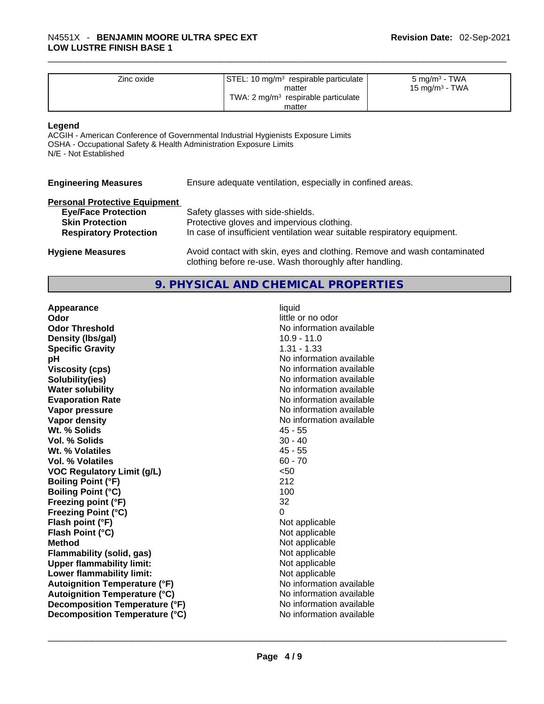| Zinc oxide | STEL: 10 mg/m <sup>3</sup> respirable particulate | 5 mg/m <sup>3</sup> - TWA  |
|------------|---------------------------------------------------|----------------------------|
|            | matter                                            | 15 mg/m <sup>3</sup> - TWA |
|            | TWA: $2 \text{ mg/m}^3$ respirable particulate    |                            |
|            | matter                                            |                            |

#### **Legend**

ACGIH - American Conference of Governmental Industrial Hygienists Exposure Limits OSHA - Occupational Safety & Health Administration Exposure Limits N/E - Not Established

| <b>Engineering Measures</b> |  | Ensure adequate ventilation, especially in confined areas. |  |
|-----------------------------|--|------------------------------------------------------------|--|
|-----------------------------|--|------------------------------------------------------------|--|

#### **Personal Protective Equipment**

| <b>Eye/Face Protection</b>    | Safety glasses with side-shields.                                        |
|-------------------------------|--------------------------------------------------------------------------|
| <b>Skin Protection</b>        | Protective gloves and impervious clothing.                               |
| <b>Respiratory Protection</b> | In case of insufficient ventilation wear suitable respiratory equipment. |

**Hygiene Measures** Avoid contact with skin, eyes and clothing. Remove and wash contaminated clothing before re-use. Wash thoroughly after handling.

## **9. PHYSICAL AND CHEMICAL PROPERTIES**

| Appearance                           | liquid                   |
|--------------------------------------|--------------------------|
| Odor                                 | little or no odor        |
| <b>Odor Threshold</b>                | No information available |
| Density (lbs/gal)                    | $10.9 - 11.0$            |
| <b>Specific Gravity</b>              | $1.31 - 1.33$            |
| pН                                   | No information available |
| <b>Viscosity (cps)</b>               | No information available |
| Solubility(ies)                      | No information available |
| <b>Water solubility</b>              | No information available |
| <b>Evaporation Rate</b>              | No information available |
| Vapor pressure                       | No information available |
| Vapor density                        | No information available |
| Wt. % Solids                         | $45 - 55$                |
| Vol. % Solids                        | $30 - 40$                |
| Wt. % Volatiles                      | $45 - 55$                |
| <b>Vol. % Volatiles</b>              | $60 - 70$                |
| <b>VOC Regulatory Limit (g/L)</b>    | $50$                     |
| <b>Boiling Point (°F)</b>            | 212                      |
| <b>Boiling Point (°C)</b>            | 100                      |
| Freezing point (°F)                  | 32                       |
| <b>Freezing Point (°C)</b>           | $\Omega$                 |
| Flash point (°F)                     | Not applicable           |
| Flash Point (°C)                     | Not applicable           |
| <b>Method</b>                        | Not applicable           |
| <b>Flammability (solid, gas)</b>     | Not applicable           |
| <b>Upper flammability limit:</b>     | Not applicable           |
| Lower flammability limit:            | Not applicable           |
| <b>Autoignition Temperature (°F)</b> | No information available |
| <b>Autoignition Temperature (°C)</b> | No information available |
| Decomposition Temperature (°F)       | No information available |
| Decomposition Temperature (°C)       | No information available |
|                                      |                          |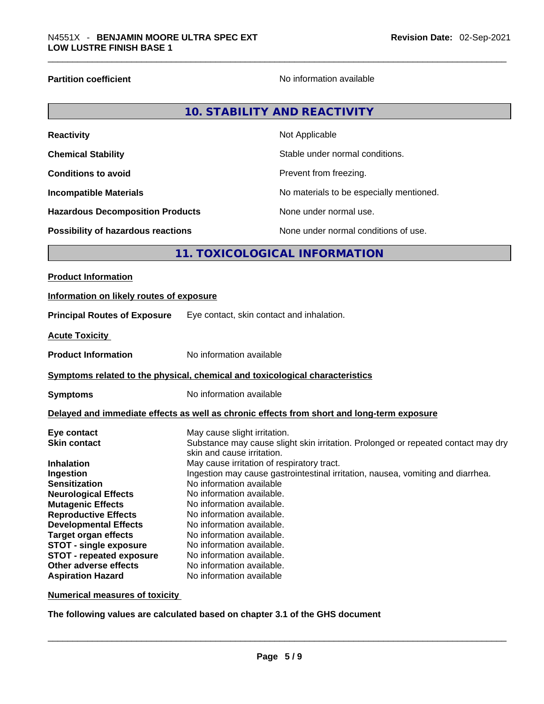**Partition coefficient Contract Contract Contract Contract Contract Contract Contract Contract Contract Contract Contract Contract Contract Contract Contract Contract Contract Contract Contract Contract Contract Contract** 

| <b>Reactivity</b>                       | Not Applicable                           |
|-----------------------------------------|------------------------------------------|
| <b>Chemical Stability</b>               | Stable under normal conditions.          |
| <b>Conditions to avoid</b>              | Prevent from freezing.                   |
| <b>Incompatible Materials</b>           | No materials to be especially mentioned. |
| <b>Hazardous Decomposition Products</b> | None under normal use.                   |
| Possibility of hazardous reactions      | None under normal conditions of use.     |

# **11. TOXICOLOGICAL INFORMATION**

| <b>Product Information</b>                                                                                                                                                                                          |                                                                                                                                                                                                                                                                                                                                                                        |
|---------------------------------------------------------------------------------------------------------------------------------------------------------------------------------------------------------------------|------------------------------------------------------------------------------------------------------------------------------------------------------------------------------------------------------------------------------------------------------------------------------------------------------------------------------------------------------------------------|
| Information on likely routes of exposure                                                                                                                                                                            |                                                                                                                                                                                                                                                                                                                                                                        |
| <b>Principal Routes of Exposure</b>                                                                                                                                                                                 | Eye contact, skin contact and inhalation.                                                                                                                                                                                                                                                                                                                              |
| <b>Acute Toxicity</b>                                                                                                                                                                                               |                                                                                                                                                                                                                                                                                                                                                                        |
| <b>Product Information</b>                                                                                                                                                                                          | No information available                                                                                                                                                                                                                                                                                                                                               |
|                                                                                                                                                                                                                     | <b>Symptoms related to the physical, chemical and toxicological characteristics</b>                                                                                                                                                                                                                                                                                    |
| <b>Symptoms</b>                                                                                                                                                                                                     | No information available                                                                                                                                                                                                                                                                                                                                               |
|                                                                                                                                                                                                                     | Delayed and immediate effects as well as chronic effects from short and long-term exposure                                                                                                                                                                                                                                                                             |
| Eye contact<br><b>Skin contact</b><br><b>Inhalation</b><br>Ingestion<br><b>Sensitization</b><br><b>Neurological Effects</b><br><b>Mutagenic Effects</b>                                                             | May cause slight irritation.<br>Substance may cause slight skin irritation. Prolonged or repeated contact may dry<br>skin and cause irritation.<br>May cause irritation of respiratory tract.<br>Ingestion may cause gastrointestinal irritation, nausea, vomiting and diarrhea.<br>No information available<br>No information available.<br>No information available. |
| <b>Reproductive Effects</b><br><b>Developmental Effects</b><br><b>Target organ effects</b><br><b>STOT - single exposure</b><br><b>STOT - repeated exposure</b><br>Other adverse effects<br><b>Aspiration Hazard</b> | No information available.<br>No information available.<br>No information available.<br>No information available.<br>No information available.<br>No information available.<br>No information available                                                                                                                                                                 |

**Numerical measures of toxicity**

**The following values are calculated based on chapter 3.1 of the GHS document**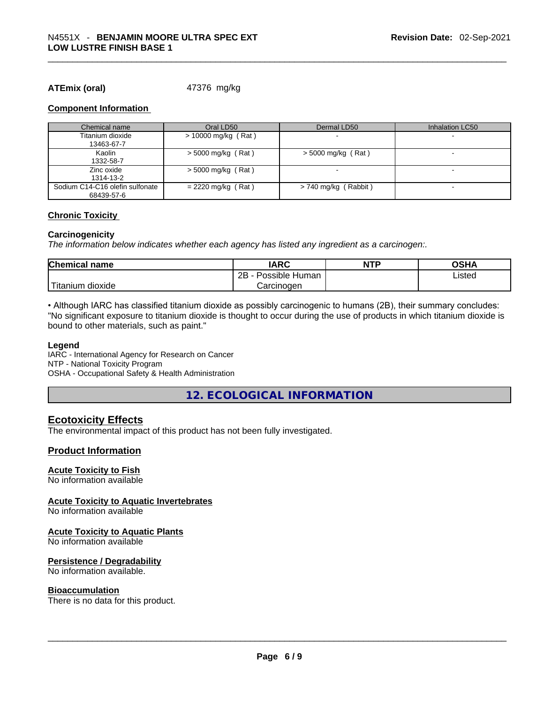#### **ATEmix (oral)** 47376 mg/kg

#### **Component Information**

| Chemical name                   | Oral LD50            | Dermal LD50            | Inhalation LC50          |
|---------------------------------|----------------------|------------------------|--------------------------|
| Titanium dioxide                | > 10000 mg/kg (Rat)  |                        |                          |
| 13463-67-7                      |                      |                        |                          |
| Kaolin                          | $>$ 5000 mg/kg (Rat) | $>$ 5000 mg/kg (Rat)   | $\overline{\phantom{a}}$ |
| 1332-58-7                       |                      |                        |                          |
| Zinc oxide                      | $> 5000$ mg/kg (Rat) |                        | $\overline{\phantom{a}}$ |
| 1314-13-2                       |                      |                        |                          |
| Sodium C14-C16 olefin sulfonate | $= 2220$ mg/kg (Rat) | $> 740$ mg/kg (Rabbit) |                          |
| 68439-57-6                      |                      |                        |                          |

#### **Chronic Toxicity**

#### **Carcinogenicity**

*The information below indicates whether each agency has listed any ingredient as a carcinogen:.* 

| <b>Chemical name</b>   | IARC                 | <b>NTP</b> | OSHA   |
|------------------------|----------------------|------------|--------|
|                        | 2Β<br>Possible Human |            | ∟isted |
| `Titanium J<br>dioxide | Carcinoɑen           |            |        |

• Although IARC has classified titanium dioxide as possibly carcinogenic to humans (2B), their summary concludes: "No significant exposure to titanium dioxide is thought to occur during the use of products in which titanium dioxide is bound to other materials, such as paint."

#### **Legend**

IARC - International Agency for Research on Cancer NTP - National Toxicity Program OSHA - Occupational Safety & Health Administration

**12. ECOLOGICAL INFORMATION** 

## **Ecotoxicity Effects**

The environmental impact of this product has not been fully investigated.

#### **Product Information**

#### **Acute Toxicity to Fish**

No information available

#### **Acute Toxicity to Aquatic Invertebrates**

No information available

#### **Acute Toxicity to Aquatic Plants**

No information available

#### **Persistence / Degradability**

No information available.

#### **Bioaccumulation**

There is no data for this product. \_\_\_\_\_\_\_\_\_\_\_\_\_\_\_\_\_\_\_\_\_\_\_\_\_\_\_\_\_\_\_\_\_\_\_\_\_\_\_\_\_\_\_\_\_\_\_\_\_\_\_\_\_\_\_\_\_\_\_\_\_\_\_\_\_\_\_\_\_\_\_\_\_\_\_\_\_\_\_\_\_\_\_\_\_\_\_\_\_\_\_\_\_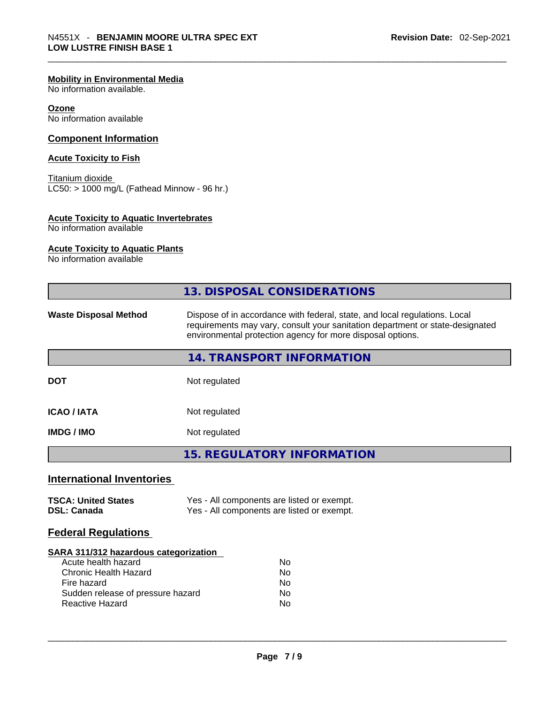#### **Mobility in Environmental Media**

No information available.

#### **Ozone**

No information available

#### **Component Information**

#### **Acute Toxicity to Fish**

Titanium dioxide  $LC50:$  > 1000 mg/L (Fathead Minnow - 96 hr.)

# **Acute Toxicity to Aquatic Invertebrates**

No information available

#### **Acute Toxicity to Aquatic Plants**

No information available

| <b>13. DISPOSAL CONSIDERATIONS</b><br>Dispose of in accordance with federal, state, and local regulations. Local<br><b>Waste Disposal Method</b><br>requirements may vary, consult your sanitation department or state-designated<br>environmental protection agency for more disposal options.<br>14. TRANSPORT INFORMATION<br>Not regulated<br><b>DOT</b><br><b>ICAO / IATA</b><br>Not regulated<br><b>IMDG / IMO</b><br>Not regulated<br><b>15. REGULATORY INFORMATION</b><br><b>International Inventories</b><br><b>TSCA: United States</b><br>Yes - All components are listed or exempt.<br>Yes - All components are listed or exempt.<br><b>DSL: Canada</b><br><b>Federal Regulations</b><br><b>SARA 311/312 hazardous categorization</b><br>Acute health hazard<br><b>No</b><br><b>Chronic Health Hazard</b><br>No<br>Fire hazard<br>No<br>Sudden release of pressure hazard<br><b>No</b><br><b>Reactive Hazard</b><br>No |  |  |  |
|----------------------------------------------------------------------------------------------------------------------------------------------------------------------------------------------------------------------------------------------------------------------------------------------------------------------------------------------------------------------------------------------------------------------------------------------------------------------------------------------------------------------------------------------------------------------------------------------------------------------------------------------------------------------------------------------------------------------------------------------------------------------------------------------------------------------------------------------------------------------------------------------------------------------------------|--|--|--|
|                                                                                                                                                                                                                                                                                                                                                                                                                                                                                                                                                                                                                                                                                                                                                                                                                                                                                                                                  |  |  |  |
|                                                                                                                                                                                                                                                                                                                                                                                                                                                                                                                                                                                                                                                                                                                                                                                                                                                                                                                                  |  |  |  |
|                                                                                                                                                                                                                                                                                                                                                                                                                                                                                                                                                                                                                                                                                                                                                                                                                                                                                                                                  |  |  |  |
|                                                                                                                                                                                                                                                                                                                                                                                                                                                                                                                                                                                                                                                                                                                                                                                                                                                                                                                                  |  |  |  |
|                                                                                                                                                                                                                                                                                                                                                                                                                                                                                                                                                                                                                                                                                                                                                                                                                                                                                                                                  |  |  |  |
|                                                                                                                                                                                                                                                                                                                                                                                                                                                                                                                                                                                                                                                                                                                                                                                                                                                                                                                                  |  |  |  |
|                                                                                                                                                                                                                                                                                                                                                                                                                                                                                                                                                                                                                                                                                                                                                                                                                                                                                                                                  |  |  |  |
|                                                                                                                                                                                                                                                                                                                                                                                                                                                                                                                                                                                                                                                                                                                                                                                                                                                                                                                                  |  |  |  |
|                                                                                                                                                                                                                                                                                                                                                                                                                                                                                                                                                                                                                                                                                                                                                                                                                                                                                                                                  |  |  |  |
|                                                                                                                                                                                                                                                                                                                                                                                                                                                                                                                                                                                                                                                                                                                                                                                                                                                                                                                                  |  |  |  |
|                                                                                                                                                                                                                                                                                                                                                                                                                                                                                                                                                                                                                                                                                                                                                                                                                                                                                                                                  |  |  |  |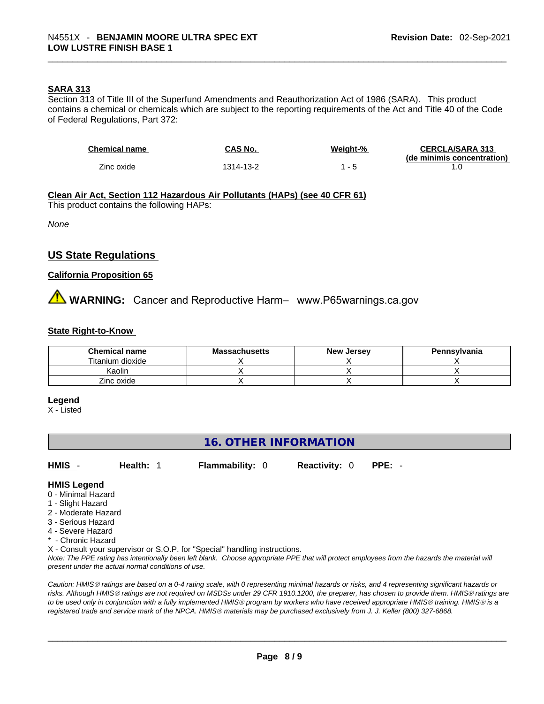#### **SARA 313**

Section 313 of Title III of the Superfund Amendments and Reauthorization Act of 1986 (SARA). This product contains a chemical or chemicals which are subject to the reporting requirements of the Act and Title 40 of the Code of Federal Regulations, Part 372:

| <b>Chemical name</b> | CAS No.   | Weight-% | <b>CERCLA/SARA 313</b>     |
|----------------------|-----------|----------|----------------------------|
|                      |           |          | (de minimis concentration) |
| Zinc oxide           | 1314-13-2 |          |                            |

**Clean Air Act,Section 112 Hazardous Air Pollutants (HAPs) (see 40 CFR 61)** This product contains the following HAPs:

*None*

#### **US State Regulations**

#### **California Proposition 65**

# **<sup>/</sup>∆ WARNING:** Cancer and Reproductive Harm– www.P65warnings.ca.gov

#### **State Right-to-Know**

| <b>Chemical name</b> | <b>Massachusetts</b> | <b>New Jersey</b> | Pennsylvania |
|----------------------|----------------------|-------------------|--------------|
| Titanium dioxide     |                      |                   |              |
| Kaolin               |                      |                   |              |
| Zinc oxide           |                      |                   |              |

#### **Legend**

X - Listed

## **16. OTHER INFORMATION**

**HMIS** - **Health:** 1 **Flammability:** 0 **Reactivity:** 0 **PPE:** -

#### **HMIS Legend**

- 0 Minimal Hazard
- 1 Slight Hazard
- 2 Moderate Hazard
- 3 Serious Hazard
- 4 Severe Hazard
- \* Chronic Hazard

X - Consult your supervisor or S.O.P. for "Special" handling instructions.

Note: The PPE rating has intentionally been left blank. Choose appropriate PPE that will protect employees from the hazards the material will *present under the actual normal conditions of use.* 

*Caution: HMISÒ ratings are based on a 0-4 rating scale, with 0 representing minimal hazards or risks, and 4 representing significant hazards or risks. Although HMISÒ ratings are not required on MSDSs under 29 CFR 1910.1200, the preparer, has chosen to provide them. HMISÒ ratings are to be used only in conjunction with a fully implemented HMISÒ program by workers who have received appropriate HMISÒ training. HMISÒ is a registered trade and service mark of the NPCA. HMISÒ materials may be purchased exclusively from J. J. Keller (800) 327-6868.*